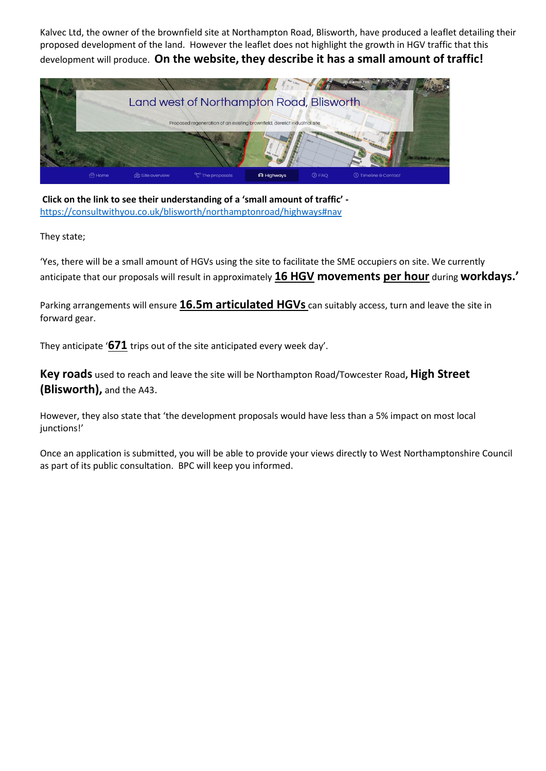Kalvec Ltd, the owner of the brownfield site at Northampton Road, Blisworth, have produced a leaflet detailing their proposed development of the land. However the leaflet does not highlight the growth in HGV traffic that this development will produce. **On the website, they describe it has a small amount of traffic!**



**Click on the link to see their understanding of a 'small amount of traffic'**  <https://consultwithyou.co.uk/blisworth/northamptonroad/highways#nav>

They state;

'Yes, there will be a small amount of HGVs using the site to facilitate the SME occupiers on site. We currently anticipate that our proposals will result in approximately **16 HGV movements per hour** during **workdays.'**

Parking arrangements will ensure **16.5m articulated HGVs** can suitably access, turn and leave the site in forward gear.

They anticipate '**671** trips out of the site anticipated every week day'.

**Key roads** used to reach and leave the site will be Northampton Road/Towcester Road**, High Street (Blisworth),** and the A43.

However, they also state that 'the development proposals would have less than a 5% impact on most local junctions!'

Once an application is submitted, you will be able to provide your views directly to West Northamptonshire Council as part of its public consultation. BPC will keep you informed.